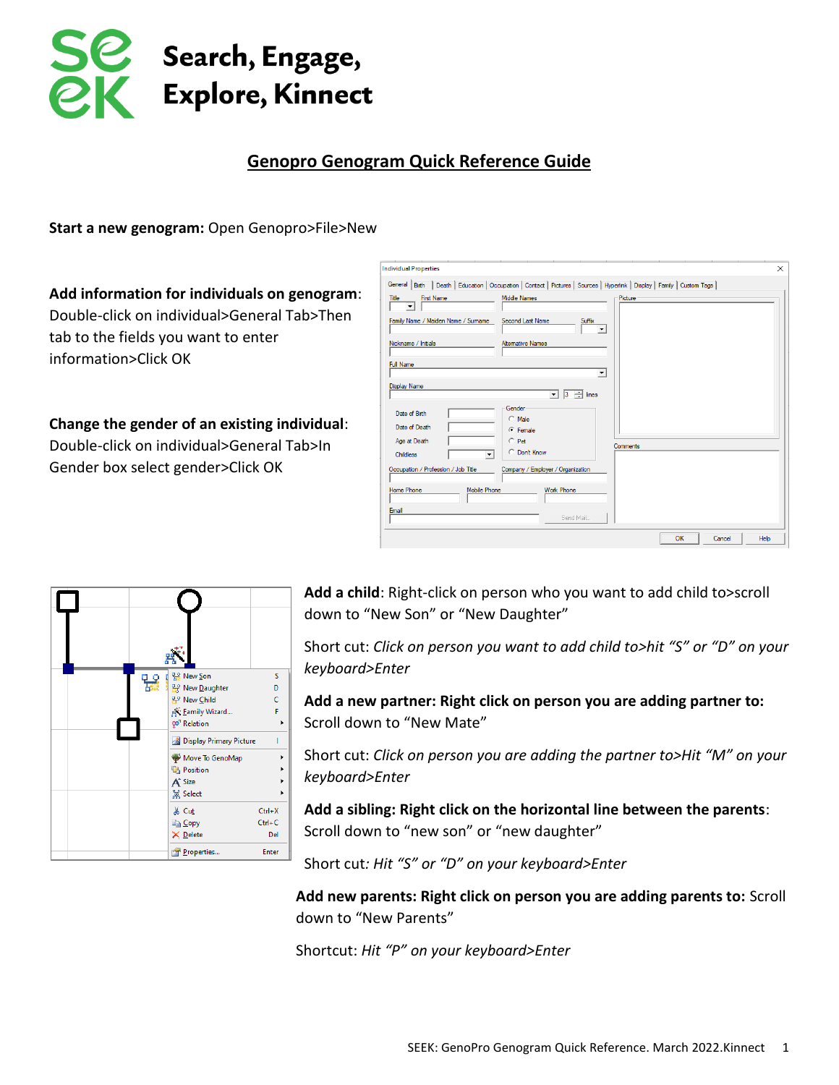

## **Genopro Genogram Quick Reference Guide**

**Start a new genogram:** Open Genopro>File>New

**Add information for individuals on genogram**: Double-click on individual>General Tab>Then tab to the fields you want to enter information>Click OK

**Change the gender of an existing individual**: Double-click on individual>General Tab>In Gender box select gender>Click OK

| 딿 | 98 New Son                           | S          |
|---|--------------------------------------|------------|
|   | <b>Rev Daughter</b>                  | D          |
|   | 사 New Child                          | Ċ          |
|   | <b>RK: Eamily Wizard</b>             | F          |
|   | go <sup>7</sup> Relation             |            |
|   | <b>&amp;</b> Display Primary Picture | ı          |
|   | Move To GenoMap                      | ١          |
|   | <b>Ta</b> Position                   |            |
|   | A <sup>+</sup> Size                  |            |
|   | <b>黑 Select</b>                      |            |
|   | & Cut                                | $Ctrl+X$   |
|   | <b>Ba</b> Copy                       | $Ctrl + C$ |
|   | X Delete                             | Del        |
|   | Properties                           | Enter      |
|   |                                      |            |

| <b>Individual Properties</b>                           |                                                                                                                            | $\times$             |
|--------------------------------------------------------|----------------------------------------------------------------------------------------------------------------------------|----------------------|
|                                                        | General Birth   Death   Education   Occupation   Contact   Pictures   Sources   Hyperlink   Display   Family   Custom Tags |                      |
| <b>First Name</b><br>Title<br>$\overline{\phantom{a}}$ | <b>Middle Names</b>                                                                                                        | Picture              |
| Family Name / Maiden Name / Sumame                     | Second Last Name<br>Suffix                                                                                                 |                      |
| Nickname / Initials                                    | <b>Alternative Names</b>                                                                                                   |                      |
| <b>Full Name</b>                                       | $\blacktriangledown$                                                                                                       |                      |
| <b>Display Name</b>                                    | $\frac{1}{3}$ 3 $\frac{1}{3}$ lines                                                                                        |                      |
| Date of Birth<br>Date of Death                         | Gender<br>$\subset$ Male<br>$C$ Female                                                                                     |                      |
| Age at Death<br>$\mathbf{v}$<br><b>Childless</b>       | $C$ Pet<br>C Don't Know                                                                                                    | Comments             |
| Occupation / Profession / Job Title                    | Company / Employer / Organization                                                                                          |                      |
| Home Phone<br><b>Mobile Phone</b>                      | <b>Work Phone</b>                                                                                                          |                      |
| Email                                                  | Send Mail                                                                                                                  |                      |
|                                                        |                                                                                                                            | OK<br>Help<br>Cancel |

**Add a child**: Right-click on person who you want to add child to>scroll down to "New Son" or "New Daughter"

Short cut: *Click on person you want to add child to>hit "S" or "D" on your keyboard>Enter*

**Add a new partner: Right click on person you are adding partner to:**  Scroll down to "New Mate"

Short cut: *Click on person you are adding the partner to>Hit "M" on your keyboard>Enter*

**Add a sibling: Right click on the horizontal line between the parents**: Scroll down to "new son" or "new daughter"

Short cut*: Hit "S" or "D" on your keyboard>Enter*

**Add new parents: Right click on person you are adding parents to:** Scroll down to "New Parents"

Shortcut: *Hit "P" on your keyboard>Enter*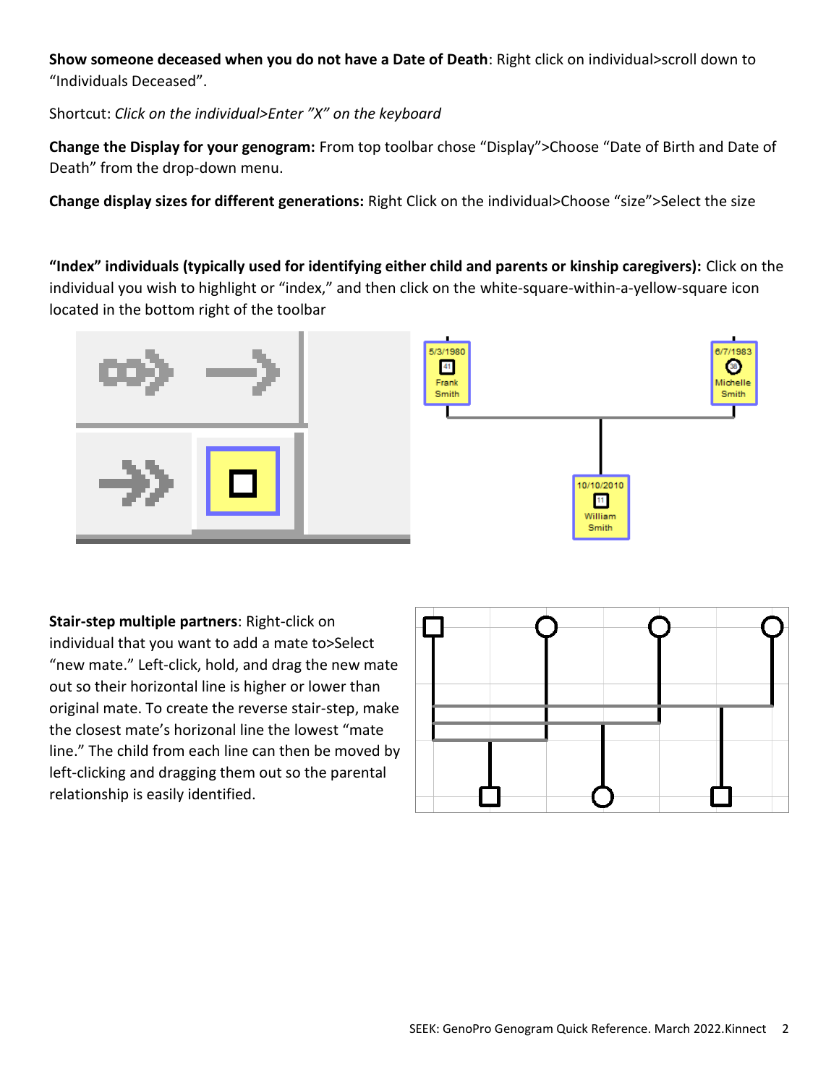**Show someone deceased when you do not have a Date of Death**: Right click on individual>scroll down to "Individuals Deceased".

Shortcut: *Click on the individual>Enter "X" on the keyboard* 

**Change the Display for your genogram:** From top toolbar chose "Display">Choose "Date of Birth and Date of Death" from the drop-down menu.

**Change display sizes for different generations:** Right Click on the individual>Choose "size">Select the size

**"Index" individuals (typically used for identifying either child and parents or kinship caregivers):** Click on the individual you wish to highlight or "index," and then click on the white-square-within-a-yellow-square icon located in the bottom right of the toolbar



**Stair-step multiple partners**: Right-click on individual that you want to add a mate to>Select "new mate." Left-click, hold, and drag the new mate out so their horizontal line is higher or lower than original mate. To create the reverse stair-step, make the closest mate's horizonal line the lowest "mate line." The child from each line can then be moved by left-clicking and dragging them out so the parental relationship is easily identified.

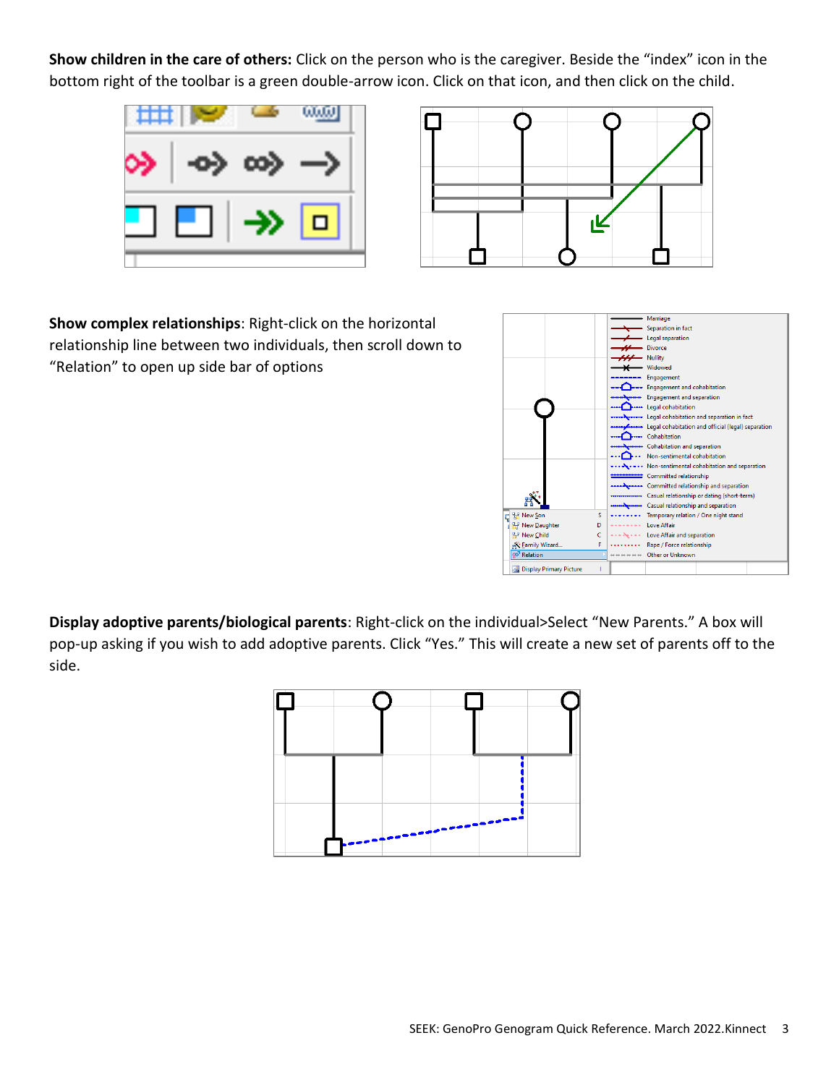**Show children in the care of others:** Click on the person who is the caregiver. Beside the "index" icon in the bottom right of the toolbar is a green double-arrow icon. Click on that icon, and then click on the child.





**Show complex relationships**: Right-click on the horizontal relationship line between two individuals, then scroll down to "Relation" to open up side bar of options



**Display adoptive parents/biological parents**: Right-click on the individual>Select "New Parents." A box will pop-up asking if you wish to add adoptive parents. Click "Yes." This will create a new set of parents off to the side.